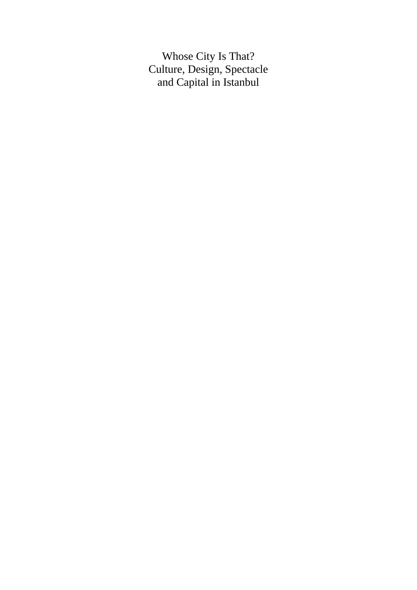Whose City Is That? Culture, Design, Spectacle and Capital in Istanbul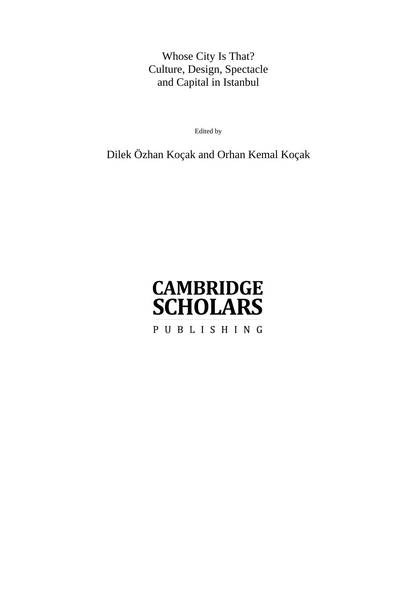## Whose City Is That? Culture, Design, Spectacle and Capital in Istanbul

Edited by

Dilek Özhan Koçak and Orhan Kemal Koçak

# **CAMBRIDGE SCHOLARS**

PUBLISHING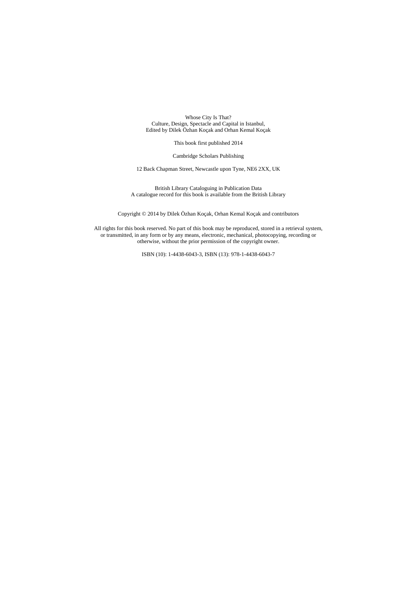Whose City Is That? Culture, Design, Spectacle and Capital in Istanbul, Edited by Dilek Özhan Koçak and Orhan Kemal Koçak

This book first published 2014

Cambridge Scholars Publishing

12 Back Chapman Street, Newcastle upon Tyne, NE6 2XX, UK

British Library Cataloguing in Publication Data A catalogue record for this book is available from the British Library

Copyright © 2014 by Dilek Özhan Koçak, Orhan Kemal Koçak and contributors

All rights for this book reserved. No part of this book may be reproduced, stored in a retrieval system, or transmitted, in any form or by any means, electronic, mechanical, photocopying, recording or otherwise, without the prior permission of the copyright owner.

ISBN (10): 1-4438-6043-3, ISBN (13): 978-1-4438-6043-7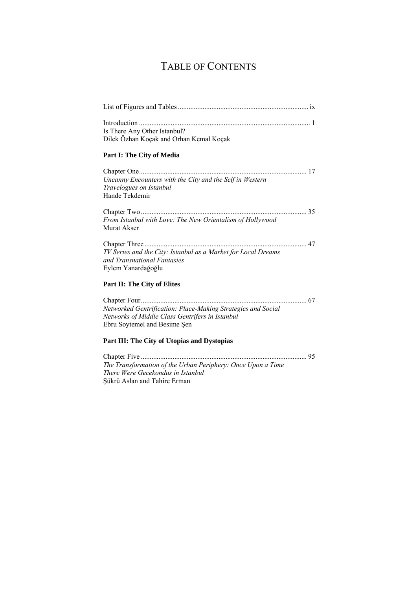## TABLE OF CONTENTS

| Is There Any Other Istanbul?                                  |
|---------------------------------------------------------------|
| Dilek Özhan Koçak and Orhan Kemal Koçak                       |
| Part I: The City of Media                                     |
|                                                               |
| Uncanny Encounters with the City and the Self in Western      |
| Travelogues on Istanbul                                       |
| Hande Tekdemir                                                |
|                                                               |
| From Istanbul with Love: The New Orientalism of Hollywood     |
| Murat Akser                                                   |
|                                                               |
| TV Series and the City: Istanbul as a Market for Local Dreams |
| and Transnational Fantasies                                   |
| Eylem Yanardağoğlu                                            |
| Part II: The City of Elites                                   |
|                                                               |
| Networked Gentrification: Place-Making Strategies and Social  |
| Networks of Middle Class Gentrifers in Istanbul               |
| Ebru Soytemel and Besime Şen                                  |
| Part III: The City of Utopias and Dystopias                   |

Chapter Five .............................................................................................. 95 *The Transformation of the Urban Periphery: Once Upon a Time There Were Gecekondus in Istanbul* Şükrü Aslan and Tahire Erman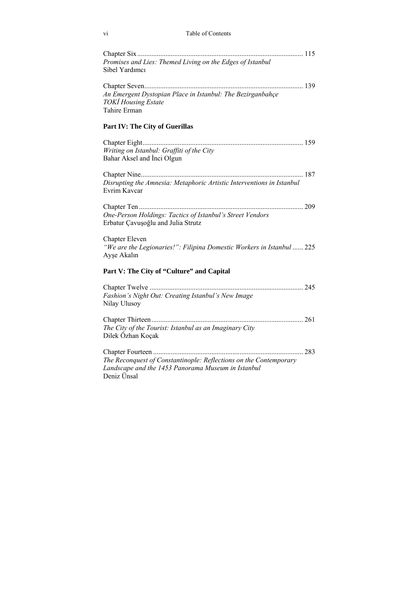#### vi Table of Contents

| Promises and Lies: Themed Living on the Edges of Istanbul<br>Sibel Yardımcı                                                            |  |
|----------------------------------------------------------------------------------------------------------------------------------------|--|
| An Emergent Dystopian Place in Istanbul: The Bezirganbahçe<br><b>TOKI Housing Estate</b><br>Tahire Erman                               |  |
| Part IV: The City of Guerillas                                                                                                         |  |
| Writing on Istanbul: Graffiti of the City<br>Bahar Aksel and Inci Olgun                                                                |  |
| Disrupting the Amnesia: Metaphoric Artistic Interventions in Istanbul<br>Evrim Kavcar                                                  |  |
| One-Person Holdings: Tactics of Istanbul's Street Vendors<br>Erbatur Çavuşoğlu and Julia Strutz                                        |  |
| <b>Chapter Eleven</b><br>"We are the Legionaries!": Filipina Domestic Workers in Istanbul  225<br>Ayse Akalın                          |  |
| Part V: The City of "Culture" and Capital                                                                                              |  |
| Fashion's Night Out: Creating Istanbul's New Image<br>Nilay Ulusoy                                                                     |  |
| The City of the Tourist: Istanbul as an Imaginary City<br>Dilek Özhan Koçak                                                            |  |
| The Reconquest of Constantinople: Reflections on the Contemporary<br>Landscape and the 1453 Panorama Museum in Istanbul<br>Deniz Ünsal |  |
|                                                                                                                                        |  |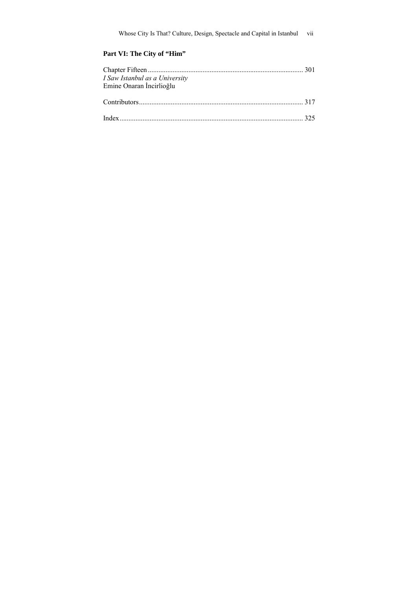#### Part VI: The City of "Him"

| I Saw Istanbul as a University |  |
|--------------------------------|--|
| Emine Onaran İncirlioğlu       |  |
|                                |  |
|                                |  |
|                                |  |
|                                |  |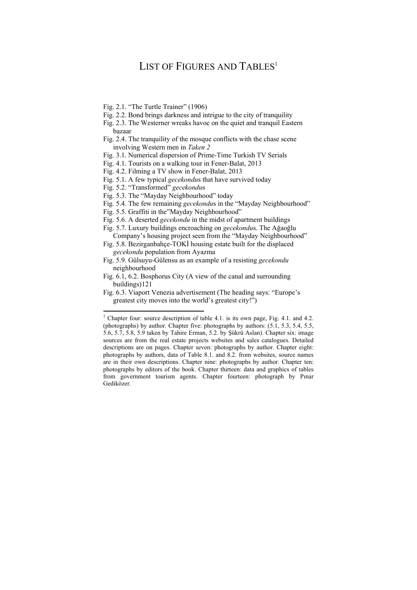## LIST OF FIGURES AND TABLES<sup>1</sup>

- Fig. 2.1. "The Turtle Trainer" (1906)
- Fig. 2.2. Bond brings darkness and intrigue to the city of tranquility
- Fig. 2.3. The Westerner wreaks havoc on the quiet and tranquil Eastern bazaar
- Fig. 2.4. The tranquility of the mosque conflicts with the chase scene involving Western men in *Taken 2*
- Fig. 3.1. Numerical dispersion of Prime-Time Turkish TV Serials
- Fig. 4.1. Tourists on a walking tour in Fener-Balat, 2013
- Fig. 4.2. Filming a TV show in Fener-Balat, 2013
- Fig. 5.1. A few typical *gecekondu*s that have survived today
- Fig. 5.2. "Transformed" *gecekondu*s
- Fig. 5.3. The "Mayday Neighbourhood" today
- Fig. 5.4. The few remaining *gecekondu*s in the "Mayday Neighbourhood"
- Fig. 5.5. Graffiti in the"Mayday Neighbourhood"
- Fig. 5.6. A deserted *gecekondu* in the midst of apartment buildings
- Fig. 5.7. Luxury buildings encroaching on *gecekondu*s. The Ağaoğlu Company's housing project seen from the "Mayday Neighbourhood"
- Fig. 5.8. Bezirganbahçe-TOKİ housing estate built for the displaced *gecekondu* population from Ayazma
- Fig. 5.9. Gülsuyu-Gülensu as an example of a resisting *gecekondu* neighbourhood
- Fig. 6.1, 6.2. Bosphorus City (A view of the canal and surrounding buildings) 121
- Fig. 6.3. Viaport Venezia advertisement (The heading says: "Europe's greatest city moves into the world's greatest city!")

<sup>&</sup>lt;sup>1</sup> Chapter four: source description of table 4.1. is its own page, Fig. 4.1. and 4.2. (photographs) by author. Chapter five: photographs by authors: (5.1, 5.3, 5.4, 5.5, 5.6, 5.7, 5.8, 5.9 taken by Tahire Erman, 5.2. by Şükrü Aslan). Chapter six: image sources are from the real estate projects websites and sales catalogues. Detailed descriptions are on pages. Chapter seven: photographs by author. Chapter eight: photographs by authors, data of Table 8.1. and 8.2. from websites, source names are in their own descriptions. Chapter nine: photographs by author. Chapter ten: photographs by editors of the book. Chapter thirteen: data and graphics of tables from government tourism agents. Chapter fourteen: photograph by Pınar Gediközer.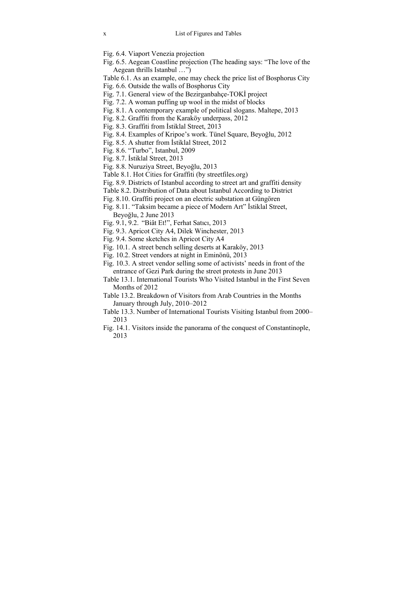- Fig. 6.4. Viaport Venezia projection
- Fig. 6.5. Aegean Coastline projection (The heading says: "The love of the Aegean thrills Istanbul …")
- Table 6.1. As an example, one may check the price list of Bosphorus City
- Fig. 6.6. Outside the walls of Bosphorus City
- Fig. 7.1. General view of the Bezirganbahçe-TOKİ project
- Fig. 7.2. A woman puffing up wool in the midst of blocks
- Fig. 8.1. A contemporary example of political slogans. Maltepe, 2013
- Fig. 8.2. Graffiti from the Karaköy underpass, 2012
- Fig. 8.3. Graffiti from İstiklal Street, 2013
- Fig. 8.4. Examples of Kripoe's work. Tünel Square, Beyoğlu, 2012
- Fig. 8.5. A shutter from İstiklal Street, 2012
- Fig. 8.6. "Turbo", Istanbul, 2009
- Fig. 8.7. İstiklal Street, 2013
- Fig. 8.8. Nuruziya Street, Beyoğlu, 2013
- Table 8.1. Hot Cities for Graffiti (by streetfiles.org)
- Fig. 8.9. Districts of Istanbul according to street art and graffiti density
- Table 8.2. Distribution of Data about Istanbul According to District
- Fig. 8.10. Graffiti project on an electric substation at Güngören
- Fig. 8.11. "Taksim became a piece of Modern Art" İstiklal Street, Beyoğlu, 2 June 2013
- Fig. 9.1, 9.2. "Biât Et!", Ferhat Satıcı, 2013
- Fig. 9.3. Apricot City A4, Dilek Winchester, 2013
- Fig. 9.4. Some sketches in Apricot City A4
- Fig. 10.1. A street bench selling deserts at Karaköy, 2013
- Fig. 10.2. Street vendors at night in Eminönü, 2013
- Fig. 10.3. A street vendor selling some of activists' needs in front of the entrance of Gezi Park during the street protests in June 2013
- Table 13.1. International Tourists Who Visited Istanbul in the First Seven Months of 2012
- Table 13.2. Breakdown of Visitors from Arab Countries in the Months January through July, 2010–2012
- Table 13.3. Number of International Tourists Visiting Istanbul from 2000– 2013
- Fig. 14.1. Visitors inside the panorama of the conquest of Constantinople, 2013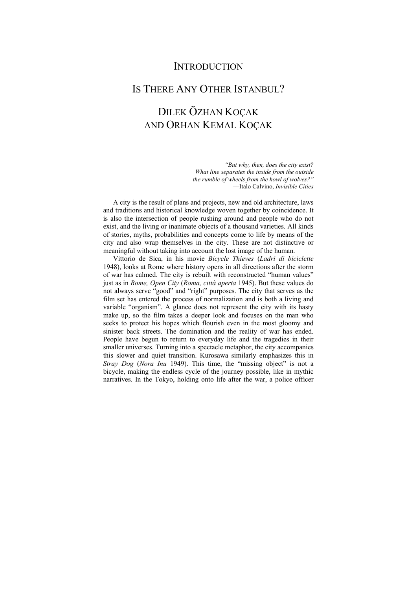## **INTRODUCTION**

## IS THERE ANY OTHER ISTANBUL?

## DILEK ÖZHAN KOÇAK AND ORHAN KEMAL KOÇAK

*"But why, then, does the city exist? What line separates the inside from the outside the rumble of wheels from the howl of wolves?"*  —Italo Calvino, *Invisible Cities* 

A city is the result of plans and projects, new and old architecture, laws and traditions and historical knowledge woven together by coincidence. It is also the intersection of people rushing around and people who do not exist, and the living or inanimate objects of a thousand varieties. All kinds of stories, myths, probabilities and concepts come to life by means of the city and also wrap themselves in the city. These are not distinctive or meaningful without taking into account the lost image of the human.

Vittorio de Sica, in his movie *Bicycle Thieves* (*Ladri di biciclette*  1948), looks at Rome where history opens in all directions after the storm of war has calmed. The city is rebuilt with reconstructed "human values" just as in *Rome, Open City* (*Roma, città aperta* 1945). But these values do not always serve "good" and "right" purposes. The city that serves as the film set has entered the process of normalization and is both a living and variable "organism". A glance does not represent the city with its hasty make up, so the film takes a deeper look and focuses on the man who seeks to protect his hopes which flourish even in the most gloomy and sinister back streets. The domination and the reality of war has ended. People have begun to return to everyday life and the tragedies in their smaller universes. Turning into a spectacle metaphor, the city accompanies this slower and quiet transition. Kurosawa similarly emphasizes this in *Stray Dog* (*Nora Inu* 1949). This time, the "missing object" is not a bicycle, making the endless cycle of the journey possible, like in mythic narratives. In the Tokyo, holding onto life after the war, a police officer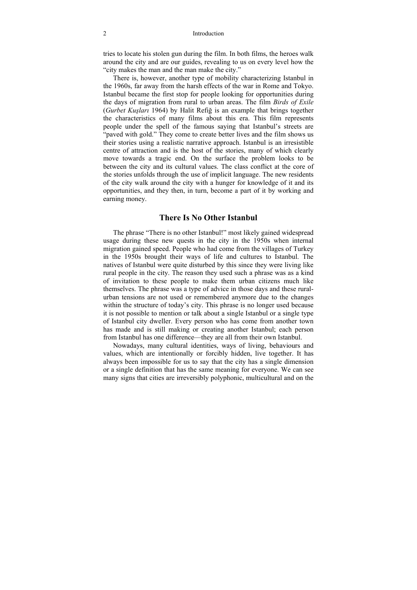#### 2 Introduction

tries to locate his stolen gun during the film. In both films, the heroes walk around the city and are our guides, revealing to us on every level how the "city makes the man and the man make the city."

There is, however, another type of mobility characterizing Istanbul in the 1960s, far away from the harsh effects of the war in Rome and Tokyo. Istanbul became the first stop for people looking for opportunities during the days of migration from rural to urban areas. The film *Birds of Exile*  (*Gurbet Kuşları* 1964) by Halit Refiğ is an example that brings together the characteristics of many films about this era. This film represents people under the spell of the famous saying that Istanbul's streets are "paved with gold." They come to create better lives and the film shows us their stories using a realistic narrative approach. Istanbul is an irresistible centre of attraction and is the host of the stories, many of which clearly move towards a tragic end. On the surface the problem looks to be between the city and its cultural values. The class conflict at the core of the stories unfolds through the use of implicit language. The new residents of the city walk around the city with a hunger for knowledge of it and its opportunities, and they then, in turn, become a part of it by working and earning money.

#### **There Is No Other Istanbul**

The phrase "There is no other Istanbul!" most likely gained widespread usage during these new quests in the city in the 1950s when internal migration gained speed. People who had come from the villages of Turkey in the 1950s brought their ways of life and cultures to Istanbul. The natives of Istanbul were quite disturbed by this since they were living like rural people in the city. The reason they used such a phrase was as a kind of invitation to these people to make them urban citizens much like themselves. The phrase was a type of advice in those days and these ruralurban tensions are not used or remembered anymore due to the changes within the structure of today's city. This phrase is no longer used because it is not possible to mention or talk about a single Istanbul or a single type of Istanbul city dweller. Every person who has come from another town has made and is still making or creating another Istanbul; each person from Istanbul has one difference—they are all from their own Istanbul.

Nowadays, many cultural identities, ways of living, behaviours and values, which are intentionally or forcibly hidden, live together. It has always been impossible for us to say that the city has a single dimension or a single definition that has the same meaning for everyone. We can see many signs that cities are irreversibly polyphonic, multicultural and on the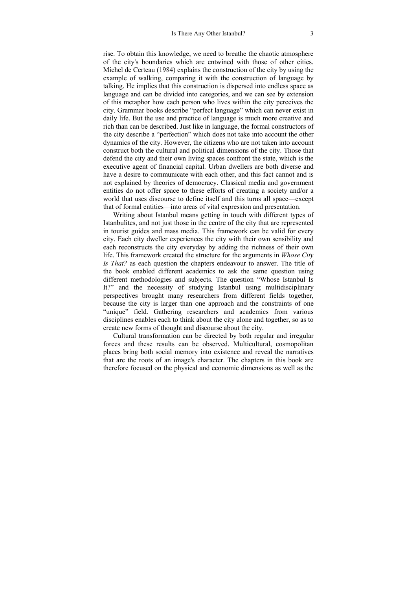rise. To obtain this knowledge, we need to breathe the chaotic atmosphere of the city's boundaries which are entwined with those of other cities. Michel de Certeau (1984) explains the construction of the city by using the example of walking, comparing it with the construction of language by talking. He implies that this construction is dispersed into endless space as language and can be divided into categories, and we can see by extension of this metaphor how each person who lives within the city perceives the city. Grammar books describe "perfect language" which can never exist in daily life. But the use and practice of language is much more creative and rich than can be described. Just like in language, the formal constructors of the city describe a "perfection" which does not take into account the other dynamics of the city. However, the citizens who are not taken into account construct both the cultural and political dimensions of the city. Those that defend the city and their own living spaces confront the state, which is the executive agent of financial capital. Urban dwellers are both diverse and have a desire to communicate with each other, and this fact cannot and is not explained by theories of democracy. Classical media and government entities do not offer space to these efforts of creating a society and/or a world that uses discourse to define itself and this turns all space—except that of formal entities—into areas of vital expression and presentation.

Writing about Istanbul means getting in touch with different types of Istanbulites, and not just those in the centre of the city that are represented in tourist guides and mass media. This framework can be valid for every city. Each city dweller experiences the city with their own sensibility and each reconstructs the city everyday by adding the richness of their own life. This framework created the structure for the arguments in *Whose City Is That?* as each question the chapters endeavour to answer. The title of the book enabled different academics to ask the same question using different methodologies and subjects. The question "Whose Istanbul Is It?" and the necessity of studying Istanbul using multidisciplinary perspectives brought many researchers from different fields together, because the city is larger than one approach and the constraints of one "unique" field. Gathering researchers and academics from various disciplines enables each to think about the city alone and together, so as to create new forms of thought and discourse about the city.

Cultural transformation can be directed by both regular and irregular forces and these results can be observed. Multicultural, cosmopolitan places bring both social memory into existence and reveal the narratives that are the roots of an image's character. The chapters in this book are therefore focused on the physical and economic dimensions as well as the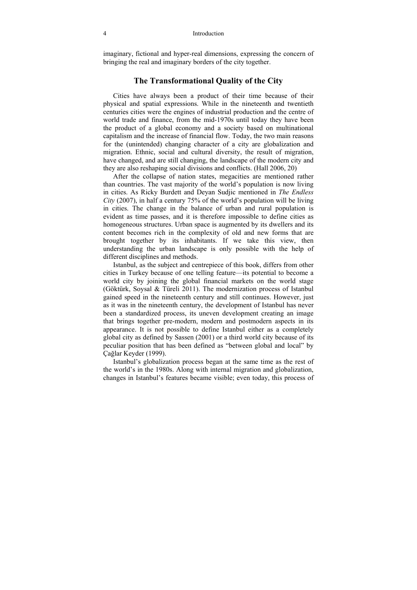imaginary, fictional and hyper-real dimensions, expressing the concern of bringing the real and imaginary borders of the city together.

#### **The Transformational Quality of the City**

Cities have always been a product of their time because of their physical and spatial expressions. While in the nineteenth and twentieth centuries cities were the engines of industrial production and the centre of world trade and finance, from the mid-1970s until today they have been the product of a global economy and a society based on multinational capitalism and the increase of financial flow. Today, the two main reasons for the (unintended) changing character of a city are globalization and migration. Ethnic, social and cultural diversity, the result of migration, have changed, and are still changing, the landscape of the modern city and they are also reshaping social divisions and conflicts. (Hall 2006, 20)

After the collapse of nation states, megacities are mentioned rather than countries. The vast majority of the world's population is now living in cities. As Ricky Burdett and Deyan Sudjic mentioned in *The Endless City* (2007), in half a century 75% of the world's population will be living in cities. The change in the balance of urban and rural population is evident as time passes, and it is therefore impossible to define cities as homogeneous structures. Urban space is augmented by its dwellers and its content becomes rich in the complexity of old and new forms that are brought together by its inhabitants. If we take this view, then understanding the urban landscape is only possible with the help of different disciplines and methods.

Istanbul, as the subject and centrepiece of this book, differs from other cities in Turkey because of one telling feature—its potential to become a world city by joining the global financial markets on the world stage (Göktürk, Soysal & Türeli 2011). The modernization process of Istanbul gained speed in the nineteenth century and still continues. However, just as it was in the nineteenth century, the development of Istanbul has never been a standardized process, its uneven development creating an image that brings together pre-modern, modern and postmodern aspects in its appearance. It is not possible to define Istanbul either as a completely global city as defined by Sassen (2001) or a third world city because of its peculiar position that has been defined as "between global and local" by Çağlar Keyder (1999).

Istanbul's globalization process began at the same time as the rest of the world's in the 1980s. Along with internal migration and globalization, changes in Istanbul's features became visible; even today, this process of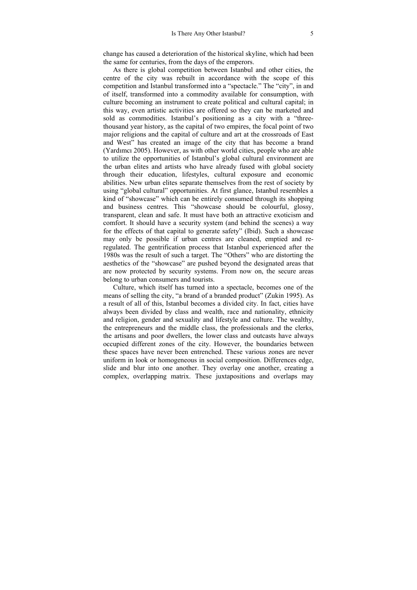change has caused a deterioration of the historical skyline, which had been the same for centuries, from the days of the emperors.

As there is global competition between Istanbul and other cities, the centre of the city was rebuilt in accordance with the scope of this competition and Istanbul transformed into a "spectacle." The "city", in and of itself, transformed into a commodity available for consumption, with culture becoming an instrument to create political and cultural capital; in this way, even artistic activities are offered so they can be marketed and sold as commodities. Istanbul's positioning as a city with a "threethousand year history, as the capital of two empires, the focal point of two major religions and the capital of culture and art at the crossroads of East and West" has created an image of the city that has become a brand (Yardımcı 2005). However, as with other world cities, people who are able to utilize the opportunities of Istanbul's global cultural environment are the urban elites and artists who have already fused with global society through their education, lifestyles, cultural exposure and economic abilities. New urban elites separate themselves from the rest of society by using "global cultural" opportunities. At first glance, Istanbul resembles a kind of "showcase" which can be entirely consumed through its shopping and business centres. This "showcase should be colourful, glossy, transparent, clean and safe. It must have both an attractive exoticism and comfort. It should have a security system (and behind the scenes) a way for the effects of that capital to generate safety" (Ibid). Such a showcase may only be possible if urban centres are cleaned, emptied and reregulated. The gentrification process that Istanbul experienced after the 1980s was the result of such a target. The "Others" who are distorting the aesthetics of the "showcase" are pushed beyond the designated areas that are now protected by security systems. From now on, the secure areas belong to urban consumers and tourists.

Culture, which itself has turned into a spectacle, becomes one of the means of selling the city, "a brand of a branded product" (Zukin 1995). As a result of all of this, Istanbul becomes a divided city. In fact, cities have always been divided by class and wealth, race and nationality, ethnicity and religion, gender and sexuality and lifestyle and culture. The wealthy, the entrepreneurs and the middle class, the professionals and the clerks, the artisans and poor dwellers, the lower class and outcasts have always occupied different zones of the city. However, the boundaries between these spaces have never been entrenched. These various zones are never uniform in look or homogeneous in social composition. Differences edge, slide and blur into one another. They overlay one another, creating a complex, overlapping matrix. These juxtapositions and overlaps may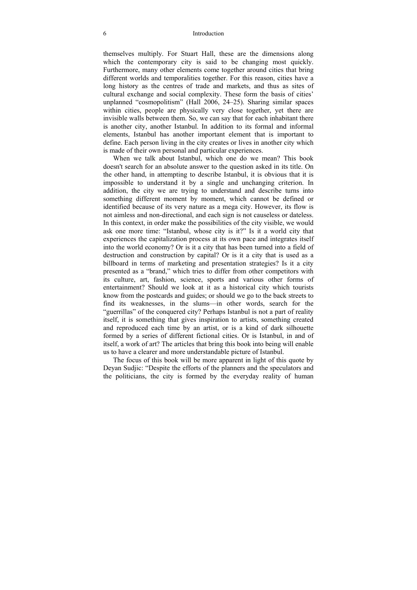#### 6 Introduction

themselves multiply. For Stuart Hall, these are the dimensions along which the contemporary city is said to be changing most quickly. Furthermore, many other elements come together around cities that bring different worlds and temporalities together. For this reason, cities have a long history as the centres of trade and markets, and thus as sites of cultural exchange and social complexity. These form the basis of cities' unplanned "cosmopolitism" (Hall 2006, 24–25). Sharing similar spaces within cities, people are physically very close together, yet there are invisible walls between them. So, we can say that for each inhabitant there is another city, another Istanbul. In addition to its formal and informal elements, Istanbul has another important element that is important to define. Each person living in the city creates or lives in another city which is made of their own personal and particular experiences.

When we talk about Istanbul, which one do we mean? This book doesn't search for an absolute answer to the question asked in its title. On the other hand, in attempting to describe Istanbul, it is obvious that it is impossible to understand it by a single and unchanging criterion. In addition, the city we are trying to understand and describe turns into something different moment by moment, which cannot be defined or identified because of its very nature as a mega city. However, its flow is not aimless and non-directional, and each sign is not causeless or dateless. In this context, in order make the possibilities of the city visible, we would ask one more time: "Istanbul, whose city is it?" Is it a world city that experiences the capitalization process at its own pace and integrates itself into the world economy? Or is it a city that has been turned into a field of destruction and construction by capital? Or is it a city that is used as a billboard in terms of marketing and presentation strategies? Is it a city presented as a "brand," which tries to differ from other competitors with its culture, art, fashion, science, sports and various other forms of entertainment? Should we look at it as a historical city which tourists know from the postcards and guides; or should we go to the back streets to find its weaknesses, in the slums—in other words, search for the "guerrillas" of the conquered city? Perhaps Istanbul is not a part of reality itself, it is something that gives inspiration to artists, something created and reproduced each time by an artist, or is a kind of dark silhouette formed by a series of different fictional cities. Or is Istanbul, in and of itself, a work of art? The articles that bring this book into being will enable us to have a clearer and more understandable picture of Istanbul.

The focus of this book will be more apparent in light of this quote by Deyan Sudjic: "Despite the efforts of the planners and the speculators and the politicians, the city is formed by the everyday reality of human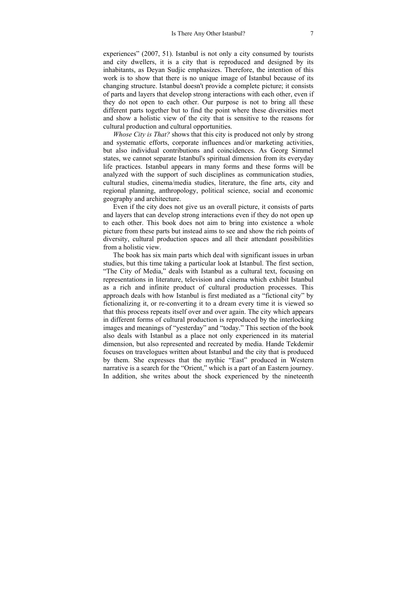experiences" (2007, 51). Istanbul is not only a city consumed by tourists and city dwellers, it is a city that is reproduced and designed by its inhabitants, as Deyan Sudjic emphasizes. Therefore, the intention of this work is to show that there is no unique image of Istanbul because of its changing structure. Istanbul doesn't provide a complete picture; it consists of parts and layers that develop strong interactions with each other, even if they do not open to each other. Our purpose is not to bring all these different parts together but to find the point where these diversities meet and show a holistic view of the city that is sensitive to the reasons for cultural production and cultural opportunities.

*Whose City is That?* shows that this city is produced not only by strong and systematic efforts, corporate influences and/or marketing activities, but also individual contributions and coincidences. As Georg Simmel states, we cannot separate Istanbul's spiritual dimension from its everyday life practices. Istanbul appears in many forms and these forms will be analyzed with the support of such disciplines as communication studies, cultural studies, cinema/media studies, literature, the fine arts, city and regional planning, anthropology, political science, social and economic geography and architecture.

Even if the city does not give us an overall picture, it consists of parts and layers that can develop strong interactions even if they do not open up to each other. This book does not aim to bring into existence a whole picture from these parts but instead aims to see and show the rich points of diversity, cultural production spaces and all their attendant possibilities from a holistic view.

The book has six main parts which deal with significant issues in urban studies, but this time taking a particular look at Istanbul. The first section, "The City of Media," deals with Istanbul as a cultural text, focusing on representations in literature, television and cinema which exhibit Istanbul as a rich and infinite product of cultural production processes. This approach deals with how Istanbul is first mediated as a "fictional city" by fictionalizing it, or re-converting it to a dream every time it is viewed so that this process repeats itself over and over again. The city which appears in different forms of cultural production is reproduced by the interlocking images and meanings of "yesterday" and "today." This section of the book also deals with Istanbul as a place not only experienced in its material dimension, but also represented and recreated by media. Hande Tekdemir focuses on travelogues written about Istanbul and the city that is produced by them. She expresses that the mythic "East" produced in Western narrative is a search for the "Orient," which is a part of an Eastern journey. In addition, she writes about the shock experienced by the nineteenth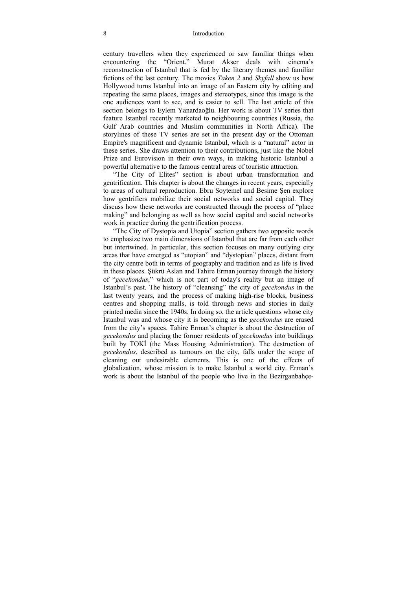#### 8 Introduction

century travellers when they experienced or saw familiar things when encountering the "Orient." Murat Akser deals with cinema's reconstruction of Istanbul that is fed by the literary themes and familiar fictions of the last century. The movies *Taken 2* and *Skyfall* show us how Hollywood turns Istanbul into an image of an Eastern city by editing and repeating the same places, images and stereotypes, since this image is the one audiences want to see, and is easier to sell. The last article of this section belongs to Eylem Yanardaoğlu. Her work is about TV series that feature Istanbul recently marketed to neighbouring countries (Russia, the Gulf Arab countries and Muslim communities in North Africa). The storylines of these TV series are set in the present day or the Ottoman Empire's magnificent and dynamic Istanbul, which is a "natural" actor in these series. She draws attention to their contributions, just like the Nobel Prize and Eurovision in their own ways, in making historic Istanbul a powerful alternative to the famous central areas of touristic attraction.

"The City of Elites" section is about urban transformation and gentrification. This chapter is about the changes in recent years, especially to areas of cultural reproduction. Ebru Soytemel and Besime Şen explore how gentrifiers mobilize their social networks and social capital. They discuss how these networks are constructed through the process of "place making" and belonging as well as how social capital and social networks work in practice during the gentrification process.

"The City of Dystopia and Utopia" section gathers two opposite words to emphasize two main dimensions of Istanbul that are far from each other but intertwined. In particular, this section focuses on many outlying city areas that have emerged as "utopian" and "dystopian" places, distant from the city centre both in terms of geography and tradition and as life is lived in these places. Şükrü Aslan and Tahire Erman journey through the history of "*gecekondus*," which is not part of today's reality but an image of Istanbul's past. The history of "cleansing" the city of *gecekondus* in the last twenty years, and the process of making high-rise blocks, business centres and shopping malls, is told through news and stories in daily printed media since the 1940s. In doing so, the article questions whose city Istanbul was and whose city it is becoming as the *gecekondus* are erased from the city's spaces. Tahire Erman's chapter is about the destruction of *gecekondus* and placing the former residents of *gecekondus* into buildings built by TOKİ (the Mass Housing Administration). The destruction of *gecekondus*, described as tumours on the city, falls under the scope of cleaning out undesirable elements. This is one of the effects of globalization, whose mission is to make Istanbul a world city. Erman's work is about the Istanbul of the people who live in the Bezirganbahçe-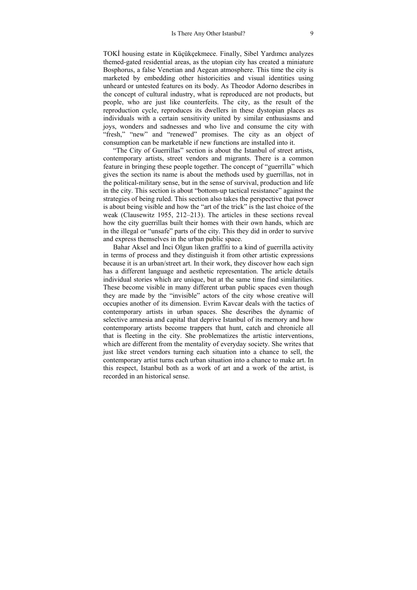TOKİ housing estate in Küçükçekmece. Finally, Sibel Yardımcı analyzes themed-gated residential areas, as the utopian city has created a miniature Bosphorus, a false Venetian and Aegean atmosphere. This time the city is marketed by embedding other historicities and visual identities using unheard or untested features on its body. As Theodor Adorno describes in the concept of cultural industry, what is reproduced are not products, but people, who are just like counterfeits. The city, as the result of the reproduction cycle, reproduces its dwellers in these dystopian places as individuals with a certain sensitivity united by similar enthusiasms and joys, wonders and sadnesses and who live and consume the city with "fresh," "new" and "renewed" promises. The city as an object of consumption can be marketable if new functions are installed into it.

"The City of Guerrillas" section is about the Istanbul of street artists, contemporary artists, street vendors and migrants. There is a common feature in bringing these people together. The concept of "guerrilla" which gives the section its name is about the methods used by guerrillas, not in the political-military sense, but in the sense of survival, production and life in the city. This section is about "bottom-up tactical resistance" against the strategies of being ruled. This section also takes the perspective that power is about being visible and how the "art of the trick" is the last choice of the weak (Clausewitz 1955, 212–213). The articles in these sections reveal how the city guerrillas built their homes with their own hands, which are in the illegal or "unsafe" parts of the city. This they did in order to survive and express themselves in the urban public space.

Bahar Aksel and İnci Olgun liken graffiti to a kind of guerrilla activity in terms of process and they distinguish it from other artistic expressions because it is an urban/street art. In their work, they discover how each sign has a different language and aesthetic representation. The article details individual stories which are unique, but at the same time find similarities. These become visible in many different urban public spaces even though they are made by the "invisible" actors of the city whose creative will occupies another of its dimension. Evrim Kavcar deals with the tactics of contemporary artists in urban spaces. She describes the dynamic of selective amnesia and capital that deprive Istanbul of its memory and how contemporary artists become trappers that hunt, catch and chronicle all that is fleeting in the city. She problematizes the artistic interventions, which are different from the mentality of everyday society. She writes that just like street vendors turning each situation into a chance to sell, the contemporary artist turns each urban situation into a chance to make art. In this respect, Istanbul both as a work of art and a work of the artist, is recorded in an historical sense.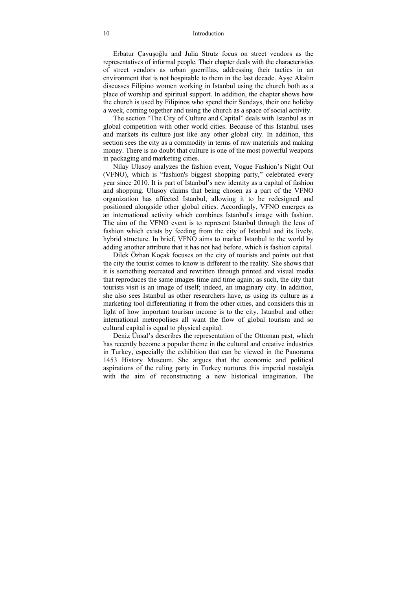#### 10 Introduction

Erbatur Çavuşoğlu and Julia Strutz focus on street vendors as the representatives of informal people. Their chapter deals with the characteristics of street vendors as urban guerrillas, addressing their tactics in an environment that is not hospitable to them in the last decade. Ayşe Akalın discusses Filipino women working in Istanbul using the church both as a place of worship and spiritual support. In addition, the chapter shows how the church is used by Filipinos who spend their Sundays, their one holiday a week, coming together and using the church as a space of social activity.

The section "The City of Culture and Capital" deals with Istanbul as in global competition with other world cities. Because of this Istanbul uses and markets its culture just like any other global city. In addition, this section sees the city as a commodity in terms of raw materials and making money. There is no doubt that culture is one of the most powerful weapons in packaging and marketing cities.

Nilay Ulusoy analyzes the fashion event, Vogue Fashion's Night Out (VFNO), which is "fashion's biggest shopping party," celebrated every year since 2010. It is part of Istanbul's new identity as a capital of fashion and shopping. Ulusoy claims that being chosen as a part of the VFNO organization has affected Istanbul, allowing it to be redesigned and positioned alongside other global cities. Accordingly, VFNO emerges as an international activity which combines Istanbul's image with fashion. The aim of the VFNO event is to represent Istanbul through the lens of fashion which exists by feeding from the city of Istanbul and its lively, hybrid structure. In brief, VFNO aims to market Istanbul to the world by adding another attribute that it has not had before, which is fashion capital.

Dilek Özhan Koçak focuses on the city of tourists and points out that the city the tourist comes to know is different to the reality. She shows that it is something recreated and rewritten through printed and visual media that reproduces the same images time and time again; as such, the city that tourists visit is an image of itself; indeed, an imaginary city. In addition, she also sees Istanbul as other researchers have, as using its culture as a marketing tool differentiating it from the other cities, and considers this in light of how important tourism income is to the city. Istanbul and other international metropolises all want the flow of global tourism and so cultural capital is equal to physical capital.

Deniz Ünsal's describes the representation of the Ottoman past, which has recently become a popular theme in the cultural and creative industries in Turkey, especially the exhibition that can be viewed in the Panorama 1453 History Museum. She argues that the economic and political aspirations of the ruling party in Turkey nurtures this imperial nostalgia with the aim of reconstructing a new historical imagination. The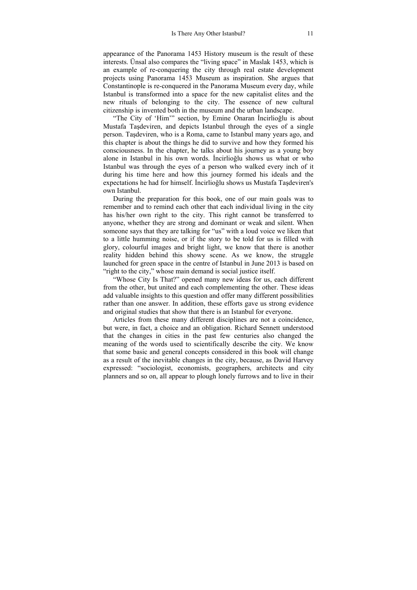appearance of the Panorama 1453 History museum is the result of these interests. Ünsal also compares the "living space" in Maslak 1453, which is an example of re-conquering the city through real estate development projects using Panorama 1453 Museum as inspiration. She argues that Constantinople is re-conquered in the Panorama Museum every day, while Istanbul is transformed into a space for the new capitalist elites and the new rituals of belonging to the city. The essence of new cultural citizenship is invented both in the museum and the urban landscape.

"The City of 'Him'" section, by Emine Onaran İncirlioğlu is about Mustafa Taşdeviren, and depicts Istanbul through the eyes of a single person. Taşdeviren, who is a Roma, came to Istanbul many years ago, and this chapter is about the things he did to survive and how they formed his consciousness. In the chapter, he talks about his journey as a young boy alone in Istanbul in his own words. İncirlioğlu shows us what or who Istanbul was through the eyes of a person who walked every inch of it during his time here and how this journey formed his ideals and the expectations he had for himself. İncirlioğlu shows us Mustafa Taşdeviren's own Istanbul.

During the preparation for this book, one of our main goals was to remember and to remind each other that each individual living in the city has his/her own right to the city. This right cannot be transferred to anyone, whether they are strong and dominant or weak and silent. When someone says that they are talking for "us" with a loud voice we liken that to a little humming noise, or if the story to be told for us is filled with glory, colourful images and bright light, we know that there is another reality hidden behind this showy scene. As we know, the struggle launched for green space in the centre of Istanbul in June 2013 is based on "right to the city," whose main demand is social justice itself.

"Whose City Is That?" opened many new ideas for us, each different from the other, but united and each complementing the other. These ideas add valuable insights to this question and offer many different possibilities rather than one answer. In addition, these efforts gave us strong evidence and original studies that show that there is an Istanbul for everyone.

Articles from these many different disciplines are not a coincidence, but were, in fact, a choice and an obligation. Richard Sennett understood that the changes in cities in the past few centuries also changed the meaning of the words used to scientifically describe the city. We know that some basic and general concepts considered in this book will change as a result of the inevitable changes in the city, because, as David Harvey expressed: "sociologist, economists, geographers, architects and city planners and so on, all appear to plough lonely furrows and to live in their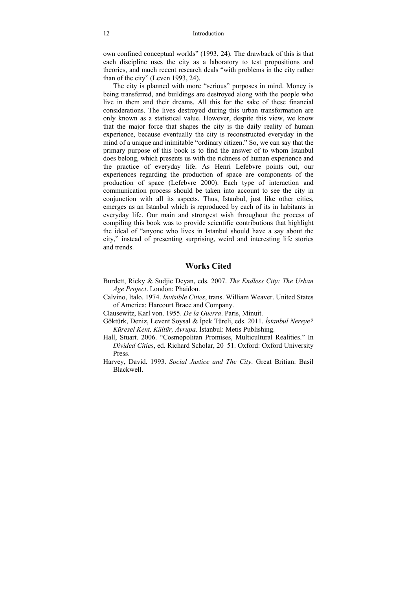own confined conceptual worlds" (1993, 24). The drawback of this is that each discipline uses the city as a laboratory to test propositions and theories, and much recent research deals "with problems in the city rather than of the city" (Leven 1993, 24).

The city is planned with more "serious" purposes in mind. Money is being transferred, and buildings are destroyed along with the people who live in them and their dreams. All this for the sake of these financial considerations. The lives destroyed during this urban transformation are only known as a statistical value. However, despite this view, we know that the major force that shapes the city is the daily reality of human experience, because eventually the city is reconstructed everyday in the mind of a unique and inimitable "ordinary citizen." So, we can say that the primary purpose of this book is to find the answer of to whom Istanbul does belong, which presents us with the richness of human experience and the practice of everyday life. As Henri Lefebvre points out, our experiences regarding the production of space are components of the production of space (Lefebvre 2000). Each type of interaction and communication process should be taken into account to see the city in conjunction with all its aspects. Thus, Istanbul, just like other cities, emerges as an Istanbul which is reproduced by each of its in habitants in everyday life. Our main and strongest wish throughout the process of compiling this book was to provide scientific contributions that highlight the ideal of "anyone who lives in Istanbul should have a say about the city," instead of presenting surprising, weird and interesting life stories and trends.

#### **Works Cited**

- Burdett, Ricky & Sudjic Deyan, eds. 2007. *The Endless City: The Urban Age Project*. London: Phaidon.
- Calvino, Italo. 1974. *Invisible Cities*, trans. William Weaver. United States of America: Harcourt Brace and Company.

Clausewitz, Karl von. 1955. *De la Guerra*. Paris, Minuit.

- Göktürk, Deniz, Levent Soysal & İpek Türeli, eds. 2011. *İstanbul Nereye? Küresel Kent, Kültür, Avrupa*. İstanbul: Metis Publishing.
- Hall, Stuart. 2006. "Cosmopolitan Promises, Multicultural Realities." In *Divided Cities*, ed. Richard Scholar, 20–51. Oxford: Oxford University Press.
- Harvey, David. 1993. *Social Justice and The City*. Great Britian: Basil Blackwell.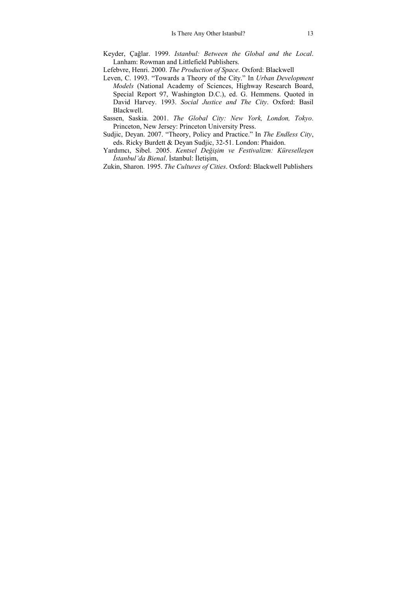- Keyder, Çağlar. 1999. *Istanbul: Between the Global and the Local*. Lanham: Rowman and Littlefield Publishers.
- Lefebvre, Henri. 2000. *The Production of Space*. Oxford: Blackwell
- Leven, C. 1993. "Towards a Theory of the City." In *Urban Development Models* (National Academy of Sciences, Highway Research Board, Special Report 97, Washington D.C.), ed. G. Hemmens. Quoted in David Harvey. 1993. *Social Justice and The City*. Oxford: Basil Blackwell.
- Sassen, Saskia. 2001. *The Global City: New York, London, Tokyo*. Princeton, New Jersey: Princeton University Press.
- Sudjic, Deyan. 2007. "Theory, Policy and Practice." In *The Endless City*, eds. Ricky Burdett & Deyan Sudjic, 32-51. London: Phaidon.
- Yardımcı, Sibel. 2005. *Kentsel Değişim ve Festivalizm: Küreselleşen İstanbul'da Bienal*. İstanbul: İletişim,
- Zukin, Sharon. 1995. *The Cultures of Cities*. Oxford: Blackwell Publishers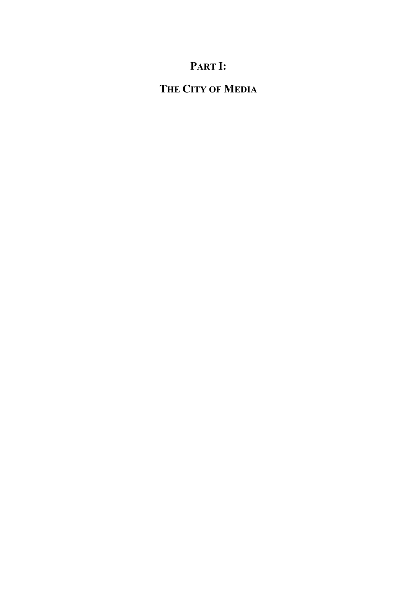## **PART I:**

## **THE CITY OF MEDIA**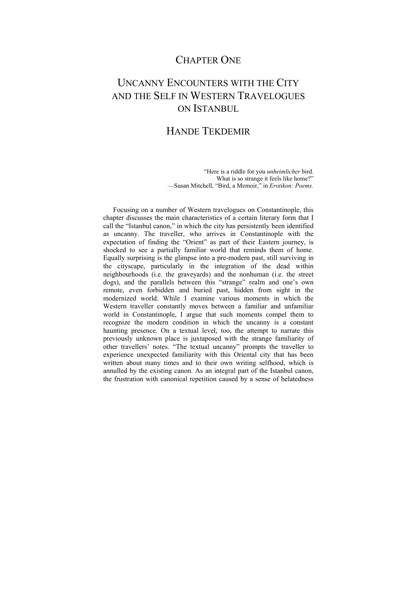## CHAPTER ONE

## UNCANNY ENCOUNTERS WITH THE CITY AND THE SELF IN WESTERN TRAVELOGUES ON ISTANBUL

### HANDE TEKDEMIR

"Here is a riddle for you *unheimlicher* bird. What is so strange it feels like home?" —Susan Mitchell, "Bird, a Memoir," in *Erotikon: Poems.*

Focusing on a number of Western travelogues on Constantinople, this chapter discusses the main characteristics of a certain literary form that I call the "Istanbul canon," in which the city has persistently been identified as uncanny. The traveller, who arrives in Constantinople with the expectation of finding the "Orient" as part of their Eastern journey, is shocked to see a partially familiar world that reminds them of home. Equally surprising is the glimpse into a pre-modern past, still surviving in the cityscape, particularly in the integration of the dead within neighbourhoods (i.e. the graveyards) and the nonhuman (i.e. the street dogs), and the parallels between this "strange" realm and one's own remote, even forbidden and buried past, hidden from sight in the modernized world. While I examine various moments in which the Western traveller constantly moves between a familiar and unfamiliar world in Constantinople, I argue that such moments compel them to recognize the modern condition in which the uncanny is a constant haunting presence. On a textual level, too, the attempt to narrate this previously unknown place is juxtaposed with the strange familiarity of other travellers' notes. "The textual uncanny" prompts the traveller to experience unexpected familiarity with this Oriental city that has been written about many times and to their own writing selfhood, which is annulled by the existing canon. As an integral part of the Istanbul canon, the frustration with canonical repetition caused by a sense of belatedness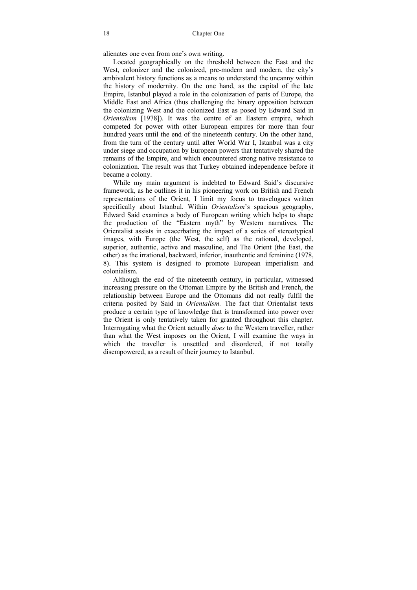alienates one even from one's own writing.

Located geographically on the threshold between the East and the West, colonizer and the colonized, pre-modern and modern, the city's ambivalent history functions as a means to understand the uncanny within the history of modernity. On the one hand, as the capital of the late Empire, Istanbul played a role in the colonization of parts of Europe, the Middle East and Africa (thus challenging the binary opposition between the colonizing West and the colonized East as posed by Edward Said in *Orientalism* [1978]). It was the centre of an Eastern empire, which competed for power with other European empires for more than four hundred years until the end of the nineteenth century. On the other hand, from the turn of the century until after World War I, Istanbul was a city under siege and occupation by European powers that tentatively shared the remains of the Empire, and which encountered strong native resistance to colonization. The result was that Turkey obtained independence before it became a colony.

While my main argument is indebted to Edward Said's discursive framework, as he outlines it in his pioneering work on British and French representations of the Orient*,* I limit my focus to travelogues written specifically about Istanbul. Within *Orientalism*'s spacious geography, Edward Said examines a body of European writing which helps to shape the production of the "Eastern myth" by Western narratives. The Orientalist assists in exacerbating the impact of a series of stereotypical images, with Europe (the West, the self) as the rational, developed, superior, authentic, active and masculine, and The Orient (the East, the other) as the irrational, backward, inferior, inauthentic and feminine (1978, 8). This system is designed to promote European imperialism and colonialism.

Although the end of the nineteenth century, in particular, witnessed increasing pressure on the Ottoman Empire by the British and French, the relationship between Europe and the Ottomans did not really fulfil the criteria posited by Said in *Orientalism.* The fact that Orientalist texts produce a certain type of knowledge that is transformed into power over the Orient is only tentatively taken for granted throughout this chapter. Interrogating what the Orient actually *does* to the Western traveller, rather than what the West imposes on the Orient, I will examine the ways in which the traveller is unsettled and disordered, if not totally disempowered, as a result of their journey to Istanbul.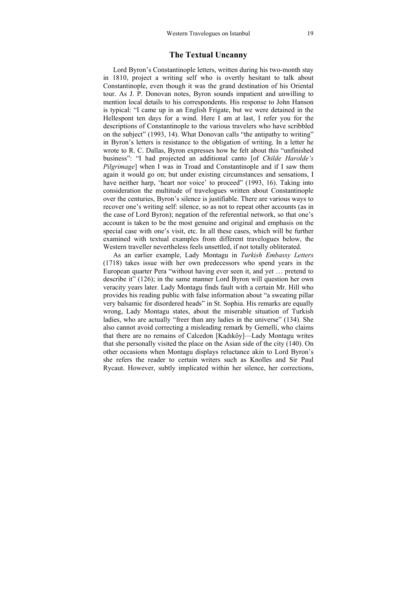#### **The Textual Uncanny**

Lord Byron's Constantinople letters, written during his two-month stay in 1810, project a writing self who is overtly hesitant to talk about Constantinople, even though it was the grand destination of his Oriental tour. As J. P. Donovan notes, Byron sounds impatient and unwilling to mention local details to his correspondents. His response to John Hanson is typical: "I came up in an English Frigate, but we were detained in the Hellespont ten days for a wind. Here I am at last, I refer you for the descriptions of Constantinople to the various travelers who have scribbled on the subject" (1993, 14). What Donovan calls "the antipathy to writing" in Byron's letters is resistance to the obligation of writing. In a letter he wrote to R. C. Dallas, Byron expresses how he felt about this "unfinished business": "I had projected an additional canto [of *Childe Harolde's Pilgrimage*] when I was in Troad and Constantinople and if I saw them again it would go on; but under existing circumstances and sensations, I have neither harp, 'heart nor voice' to proceed" (1993, 16). Taking into consideration the multitude of travelogues written about Constantinople over the centuries, Byron's silence is justifiable. There are various ways to recover one's writing self: silence, so as not to repeat other accounts (as in the case of Lord Byron); negation of the referential network, so that one's account is taken to be the most genuine and original and emphasis on the special case with one's visit, etc. In all these cases, which will be further examined with textual examples from different travelogues below, the Western traveller nevertheless feels unsettled, if not totally obliterated.

As an earlier example, Lady Montagu in *Turkish Embassy Letters*  (1718) takes issue with her own predecessors who spend years in the European quarter Pera "without having ever seen it, and yet … pretend to describe it" (126); in the same manner Lord Byron will question her own veracity years later. Lady Montagu finds fault with a certain Mr. Hill who provides his reading public with false information about "a sweating pillar very balsamic for disordered heads" in St. Sophia. His remarks are equally wrong, Lady Montagu states, about the miserable situation of Turkish ladies, who are actually "freer than any ladies in the universe" (134). She also cannot avoid correcting a misleading remark by Gemelli, who claims that there are no remains of Calcedon [Kadıköy]—Lady Montagu writes that she personally visited the place on the Asian side of the city (140). On other occasions when Montagu displays reluctance akin to Lord Byron's she refers the reader to certain writers such as Knolles and Sir Paul Rycaut. However, subtly implicated within her silence, her corrections,